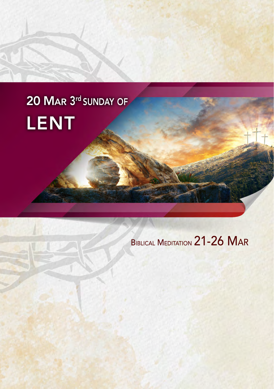# 20 MAR 3<sup>rd</sup> SUNDAY OF LENT

# BIBLICAL MEDITATION 21-26 MAR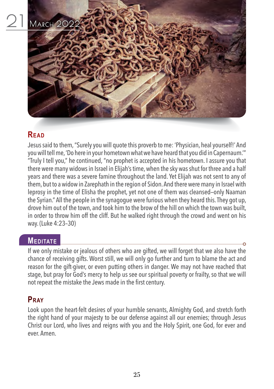

Jesus said to them, "Surely you will quote this proverb to me: 'Physician, heal yourself!' And you will tell me, 'Do here in your hometown what we have heard that you did in Capernaum.'" "Truly I tell you," he continued, "no prophet is accepted in his hometown. I assure you that there were many widows in Israel in Elijah's time, when the sky was shut for three and a half years and there was a severe famine throughout the land. Yet Elijah was not sent to any of them, but to a widow in Zarephath in the region of Sidon. And there were many in Israel with leprosy in the time of Elisha the prophet, yet not one of them was cleansed—only Naaman the Syrian." All the people in the synagogue were furious when they heard this. They got up, drove him out of the town, and took him to the brow of the hill on which the town was built, in order to throw him off the cliff. But he walked right through the crowd and went on his way. (Luke 4:23–30)

# **MEDITATE**

If we only mistake or jealous of others who are gifted, we will forget that we also have the chance of receiving gifts. Worst still, we will only go further and turn to blame the act and reason for the gift-giver, or even putting others in danger. We may not have reached that stage, but pray for God's mercy to help us see our spiritual poverty or frailty, so that we will not repeat the mistake the Jews made in the first century.

# **Pray**

Look upon the heart-felt desires of your humble servants, Almighty God, and stretch forth the right hand of your majesty to be our defense against all our enemies; through Jesus Christ our Lord, who lives and reigns with you and the Holy Spirit, one God, for ever and ever. Amen.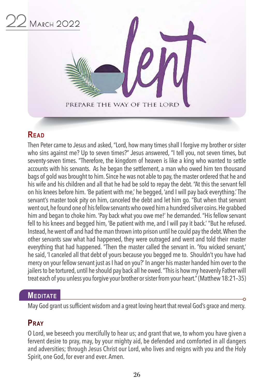

Then Peter came to Jesus and asked, "Lord, how many times shall I forgive my brother or sister who sins against me? Up to seven times?" Jesus answered, "I tell you, not seven times, but seventy-seven times. "Therefore, the kingdom of heaven is like a king who wanted to settle accounts with his servants. As he began the settlement, a man who owed him ten thousand bags of gold was brought to him. Since he was not able to pay, the master ordered that he and his wife and his children and all that he had be sold to repay the debt. "At this the servant fell on his knees before him. 'Be patient with me,' he begged, 'and I will pay back everything.' The servant's master took pity on him, canceled the debt and let him go. "But when that servant went out, he found one of his fellow servants who owed him a hundred silver coins. He grabbed him and began to choke him. 'Pay back what you owe me!' he demanded. "His fellow servant fell to his knees and begged him, 'Be patient with me, and I will pay it back.' "But he refused. Instead, he went off and had the man thrown into prison until he could pay the debt. When the other servants saw what had happened, they were outraged and went and told their master everything that had happened. "Then the master called the servant in. 'You wicked servant,' he said, 'I canceled all that debt of yours because you begged me to. Shouldn't you have had mercy on your fellow servant just as I had on you?' In anger his master handed him over to the jailers to be tortured, until he should pay back all he owed. "This is how my heavenly Father will treat each of you unless you forgive your brother or sister from your heart." (Matthew 18:21–35)

# **MEDITATE**

May God grant us sufficient wisdom and a great loving heart that reveal God's grace and mercy.

# **Pray**

O Lord, we beseech you mercifully to hear us; and grant that we, to whom you have given a fervent desire to pray, may, by your mighty aid, be defended and comforted in all dangers and adversities; through Jesus Christ our Lord, who lives and reigns with you and the Holy Spirit, one God, for ever and ever. Amen.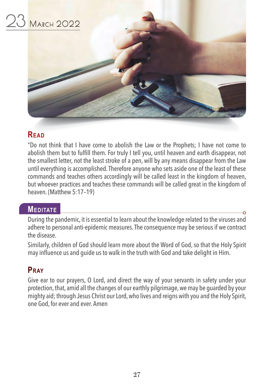

"Do not think that I have come to abolish the Law or the Prophets; I have not come to abolish them but to fulfill them. For truly I tell you, until heaven and earth disappear, not the smallest letter, not the least stroke of a pen, will by any means disappear from the Law until everything is accomplished. Therefore anyone who sets aside one of the least of these commands and teaches others accordingly will be called least in the kingdom of heaven, but whoever practices and teaches these commands will be called great in the kingdom of heaven. (Matthew 5:17–19)

# **MEDITATE**

During the pandemic, it is essential to learn about the knowledge related to the viruses and adhere to personal anti-epidemic measures. The consequence may be serious if we contract the disease.

Similarly, children of God should learn more about the Word of God, so that the Holy Spirit may influence us and guide us to walk in the truth with God and take delight in Him.

# **Pray**

Give ear to our prayers, O Lord, and direct the way of your servants in safety under your protection, that, amid all the changes of our earthly pilgrimage, we may be guarded by your mighty aid; through Jesus Christ our Lord, who lives and reigns with you and the Holy Spirit, one God, for ever and ever. Amen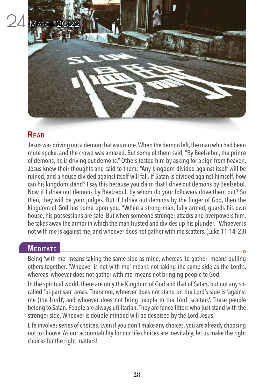

Jesus was driving out a demon that was mute. When the demon left, the man who had been mute spoke, and the crowd was amazed. But some of them said, "By Beelzebul, the prince of demons, he is driving out demons." Others tested him by asking for a sign from heaven. Jesus knew their thoughts and said to them: "Any kingdom divided against itself will be ruined, and a house divided against itself will fall. If Satan is divided against himself, how can his kingdom stand? I say this because you claim that I drive out demons by Beelzebul. Now if I drive out demons by Beelzebul, by whom do your followers drive them out? So then, they will be your judges. But if I drive out demons by the finger of God, then the kingdom of God has come upon you. "When a strong man, fully armed, guards his own house, his possessions are safe. But when someone stronger attacks and overpowers him, he takes away the armor in which the man trusted and divides up his plunder. "Whoever is not with me is against me, and whoever does not gather with me scatters. (Luke 11:14–23)

### **MEDITATE**

Being 'with me' means taking the same side as mine, whereas 'to gather' means pulling others together. 'Whoever is not with me' means not taking the same side as the Lord's, whereas 'whoever does not gather with me' means not bringing people to God.

In the spiritual world, there are only the Kingdom of God and that of Satan, but not any socalled 'bi-partisan' areas. Therefore, whoever does not stand on the Lord's side is 'against me (the Lord)', and whoever does not bring people to the Lord 'scatters'. These people belong to Satan. People are always utilitarian. They are fence-fitters who just stand with the stronger side. Whoever is double-minded will be despised by the Lord Jesus.

Life involves series of choices. Even if you don't make any choices, you are already choosing not to choose. As our accountability for our life choices are inevitably, let us make the right choices for the right matters!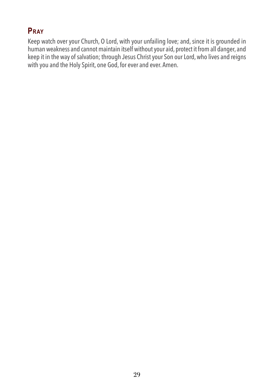# **Pray**

Keep watch over your Church, O Lord, with your unfailing love; and, since it is grounded in human weakness and cannot maintain itself without your aid, protect it from all danger, and keep it in the way of salvation; through Jesus Christ your Son our Lord, who lives and reigns with you and the Holy Spirit, one God, for ever and ever. Amen.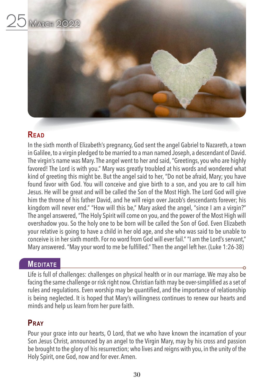

In the sixth month of Elizabeth's pregnancy, God sent the angel Gabriel to Nazareth, a town in Galilee, to a virgin pledged to be married to a man named Joseph, a descendant of David. The virgin's name was Mary. The angel went to her and said, "Greetings, you who are highly favored! The Lord is with you." Mary was greatly troubled at his words and wondered what kind of greeting this might be. But the angel said to her, "Do not be afraid, Mary; you have found favor with God. You will conceive and give birth to a son, and you are to call him Jesus. He will be great and will be called the Son of the Most High. The Lord God will give him the throne of his father David, and he will reign over Jacob's descendants forever; his kingdom will never end." "How will this be," Mary asked the angel, "since I am a virgin?" The angel answered, "The Holy Spirit will come on you, and the power of the Most High will overshadow you. So the holy one to be born will be called the Son of God. Even Elizabeth your relative is going to have a child in her old age, and she who was said to be unable to conceive is in her sixth month. For no word from God will ever fail." "I am the Lord's servant," Mary answered. "May your word to me be fulfilled." Then the angel left her. (Luke 1:26-38)

# **MEDITATE**

Life is full of challenges: challenges on physical health or in our marriage. We may also be facing the same challenge or risk right now. Christian faith may be over-simplified as a set of rules and regulations. Even worship may be quantified, and the importance of relationship is being neglected. It is hoped that Mary's willingness continues to renew our hearts and minds and help us learn from her pure faith.

# **Pray**

Pour your grace into our hearts, O Lord, that we who have known the incarnation of your Son Jesus Christ, announced by an angel to the Virgin Mary, may by his cross and passion be brought to the glory of his resurrection; who lives and reigns with you, in the unity of the Holy Spirit, one God, now and for ever. Amen.